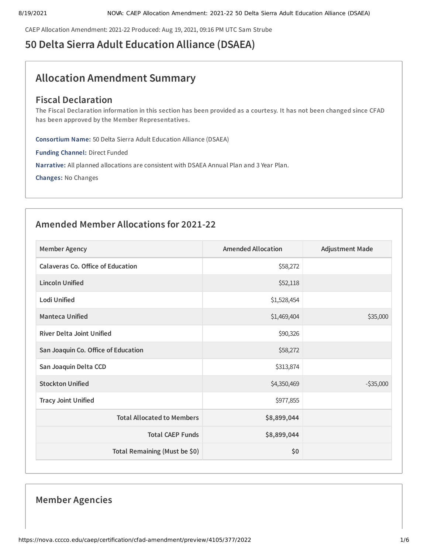CAEP Allocation Amendment: 2021-22 Produced: Aug 19, 2021, 09:16 PM UTC Sam Strube

# **50 Delta Sierra Adult Education Alliance (DSAEA)**

# **Allocation Amendment Summary**

## **Fiscal Declaration**

The Fiscal Declaration information in this section has been provided as a courtesy. It has not been changed since CFAD **has been approved by the Member Representatives.**

**Consortium Name:** 50 Delta Sierra Adult Education Alliance (DSAEA)

**Funding Channel:** Direct Funded

**Narrative:** All planned allocations are consistent with DSAEA Annual Plan and 3 Year Plan.

**Changes:** No Changes

## **Amended Member Allocations for 2021-22**

| <b>Member Agency</b>                     | <b>Amended Allocation</b> | <b>Adjustment Made</b> |
|------------------------------------------|---------------------------|------------------------|
| <b>Calaveras Co. Office of Education</b> | \$58,272                  |                        |
| <b>Lincoln Unified</b>                   | \$52,118                  |                        |
| <b>Lodi Unified</b>                      | \$1,528,454               |                        |
| <b>Manteca Unified</b>                   | \$1,469,404               | \$35,000               |
| <b>River Delta Joint Unified</b>         | \$90,326                  |                        |
| San Joaquin Co. Office of Education      | \$58,272                  |                        |
| San Joaquin Delta CCD                    | \$313,874                 |                        |
| <b>Stockton Unified</b>                  | \$4,350,469               | $-535,000$             |
| <b>Tracy Joint Unified</b>               | \$977,855                 |                        |
| <b>Total Allocated to Members</b>        | \$8,899,044               |                        |
| <b>Total CAEP Funds</b>                  | \$8,899,044               |                        |
| Total Remaining (Must be \$0)            | \$0                       |                        |

## **Member Agencies**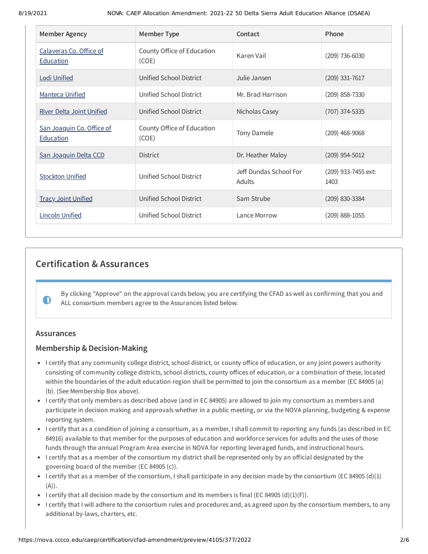| <b>Member Agency</b>                          | <b>Member Type</b>                  | Contact                          | Phone                       |
|-----------------------------------------------|-------------------------------------|----------------------------------|-----------------------------|
| Calaveras Co. Office of<br><b>Education</b>   | County Office of Education<br>(COE) | Karen Vail                       | $(209)$ 736-6030            |
| <b>Lodi Unified</b>                           | Unified School District             | Julie Jansen                     | $(209)$ 331-7617            |
| <b>Manteca Unified</b>                        | Unified School District             | Mr. Brad Harrison                | $(209)$ 858-7330            |
| <b>River Delta Joint Unified</b>              | Unified School District             | Nicholas Casey                   | (707) 374-5335              |
| San Joaquin Co. Office of<br><b>Education</b> | County Office of Education<br>(COE) | Tony Damele                      | $(209)$ 468-9068            |
| San Joaquin Delta CCD                         | <b>District</b>                     | Dr. Heather Maloy                | $(209)$ 954-5012            |
| <b>Stockton Unified</b>                       | Unified School District             | Jeff Dundas School For<br>Adults | (209) 933-7455 ext:<br>1403 |
| <b>Tracy Joint Unified</b>                    | Unified School District             | Sam Strube                       | (209) 830-3384              |
| <b>Lincoln Unified</b>                        | Unified School District             | Lance Morrow                     | $(209)$ 888-1055            |

## **Certification & Assurances**

By clicking "Approve" on the approval cards below, you are certifying the CFAD as well as confirming that you and ALL consortium members agree to the Assurances listed below.

## **Assurances**

 $\bullet$ 

## **Membership & Decision-Making**

- I certify that any community college district, school district, or county office of education, or any joint powers authority consisting of community college districts, school districts, county offices of education, or a combination of these, located within the boundaries of the adult education region shall be permitted to join the consortium as a member (EC 84905 (a) (b). (See Membership Box above).
- I certify that only members as described above (and in EC 84905) are allowed to join my consortium as members and participate in decision making and approvals whether in a public meeting, or via the NOVA planning, budgeting & expense reporting system.
- I certify that as a condition of joining a consortium, as a member, I shall commit to reporting any funds (as described in EC 84916) available to that member for the purposes of education and workforce services for adults and the uses of those funds through the annual Program Area exercise in NOVA for reporting leveraged funds, and instructional hours.
- I certify that as a member of the consortium my district shall be represented only by an official designated by the governing board of the member (EC 84905 (c)).
- I certify that as a member of the consortium, I shall participate in any decision made by the consortium (EC 84905 (d)(1)  $(A)$ ).
- I certify that all decision made by the consortium and its members is final (EC 84905 (d)(1)(F)).
- I certify that I will adhere to the consortium rules and procedures and, as agreed upon by the consortium members, to any additional by-laws, charters, etc.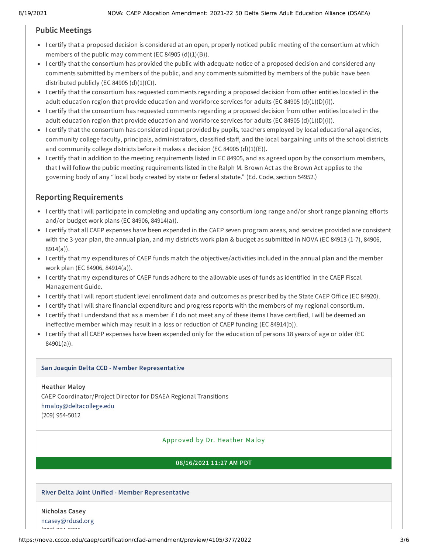## **Public Meetings**

- I certify that a proposed decision is considered at an open, properly noticed public meeting of the consortium at which members of the public may comment (EC 84905  $(d)(1)(B)$ ).
- I certify that the consortium has provided the public with adequate notice of a proposed decision and considered any comments submitted by members of the public, and any comments submitted by members of the public have been distributed publicly (EC 84905  $(d)(1)(C)$ ).
- I certify that the consortium has requested comments regarding a proposed decision from other entities located in the adult education region that provide education and workforce services for adults (EC 84905 (d)(1)(D)(i)).
- I certify that the consortium has requested comments regarding a proposed decision from other entities located in the adult education region that provide education and workforce services for adults (EC 84905 (d)(1)(D)(i)).
- I certify that the consortium has considered input provided by pupils, teachers employed by local educational agencies, community college faculty, principals, administrators, classified staff, and the local bargaining units of the school districts and community college districts before it makes a decision (EC 84905  $(d)(1)(E)$ ).
- I certify that in addition to the meeting requirements listed in EC 84905, and as agreed upon by the consortium members, that I will follow the public meeting requirements listed in the Ralph M. Brown Act as the Brown Act applies to the governing body of any "local body created by state or federal statute." (Ed. Code, section 54952.)

## **Reporting Requirements**

- I certify that I will participate in completing and updating any consortium long range and/or short range planning efforts and/or budget work plans (EC 84906, 84914(a)).
- I certify that all CAEP expenses have been expended in the CAEP seven program areas, and services provided are consistent with the 3-year plan, the annual plan, and my district's work plan & budget as submitted in NOVA (EC 84913 (1-7), 84906, 8914(a)).
- I certify that my expenditures of CAEP funds match the objectives/activities included in the annual plan and the member work plan (EC 84906, 84914(a)).
- I certify that my expenditures of CAEP funds adhere to the allowable uses of funds as identified in the CAEP Fiscal Management Guide.
- I certify that I will report student level enrollment data and outcomes as prescribed by the State CAEP Office (EC 84920).
- I certify that I will share financial expenditure and progress reports with the members of my regional consortium.
- I certify that I understand that as a member if I do not meet any of these items I have certified, I will be deemed an ineffective member which may result in a loss or reduction of CAEP funding (EC 84914(b)).
- I certify that all CAEP expenses have been expended only for the education of persons 18 years of age or older (EC 84901(a)).

#### **San Joaquin Delta CCD - Member Representative**

**Heather Maloy** CAEP Coordinator/Project Director for DSAEA Regional Transitions [hmaloy@deltacollege.edu](mailto:hmaloy@deltacollege.edu) (209) 954-5012

#### Approved by Dr. Hea ther Ma loy

### **08/16/2021 11:27 AM PDT**

### **River Delta Joint Unified - Member Representative**

## **Nicholas Casey**

[ncasey@rdusd.org](mailto:ncasey@rdusd.org)

 $(70, 70, 70, 70, 70)$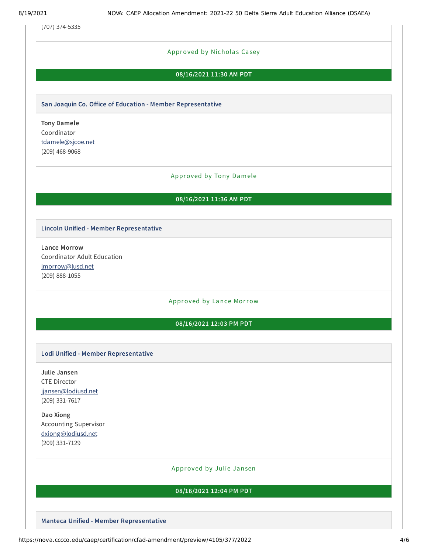(707) 374-5335

#### Approved by Nicholas Casey

#### **08/16/2021 11:30 AM PDT**

#### **San Joaquin Co. Office of Education - Member Representative**

**Tony Damele** Coordinator [tdamele@sjcoe.net](mailto:tdamele@sjcoe.net) (209) 468-9068

#### Approved by Tony Damele

#### **08/16/2021 11:36 AM PDT**

#### **Lincoln Unified - Member Representative**

**Lance Morrow** Coordinator Adult Education [lmorrow@lusd.net](mailto:lmorrow@lusd.net) (209) 888-1055

#### Approved by Lance Morrow

#### **08/16/2021 12:03 PM PDT**

#### **Lodi Unified - Member Representative**

**Julie Jansen** CTE Director [jjansen@lodiusd.net](mailto:jjansen@lodiusd.net) (209) 331-7617

**Dao Xiong** Accounting Supervisor [dxiong@lodiusd.net](mailto:dxiong@lodiusd.net) (209) 331-7129

#### Approved by Julie Jansen

#### **08/16/2021 12:04 PM PDT**

**Manteca Unified - Member Representative**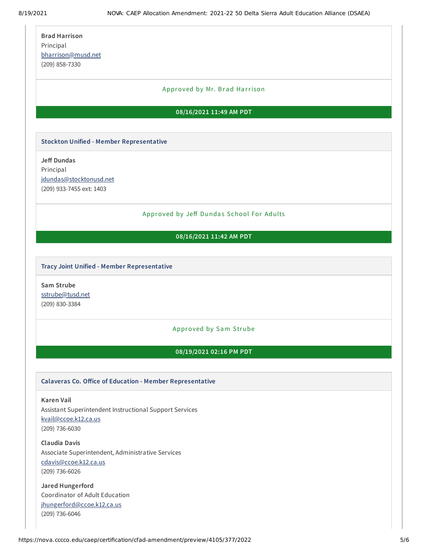| <b>Brad Harrison</b> |  |  |
|----------------------|--|--|
| Principal            |  |  |
| bharrison@musd.net   |  |  |
| (209) 858-7330       |  |  |

#### Approved by Mr. Brad Harrison

#### **08/16/2021 11:49 AM PDT**

#### **Stockton Unified - Member Representative**

**Jeff Dundas** Principal [jdundas@stocktonusd.net](mailto:jdundas@stocktonusd.net) (209) 933-7455 ext: 1403

#### Approved by Jeff Dundas School For Adults

#### **08/16/2021 11:42 AM PDT**

#### **Tracy Joint Unified - Member Representative**

**Sam Strube** [sstrube@tusd.net](mailto:sstrube@tusd.net) (209) 830-3384

#### Approved by Sam Strube

#### **08/19/2021 02:16 PM PDT**

#### **Calaveras Co. Office of Education - Member Representative**

**Karen Vail** Assistant Superintendent Instructional Support Services [kvail@ccoe.k12.ca.us](mailto:kvail@ccoe.k12.ca.us) (209) 736-6030

**Claudia Davis** Associate Superintendent, Administrative Services [cdavis@ccoe.k12.ca.us](mailto:cdavis@ccoe.k12.ca.us) (209) 736-6026

**Jared Hungerford** Coordinator of Adult Education [jhungerford@ccoe.k12.ca.us](mailto:jhungerford@ccoe.k12.ca.us) (209) 736-6046